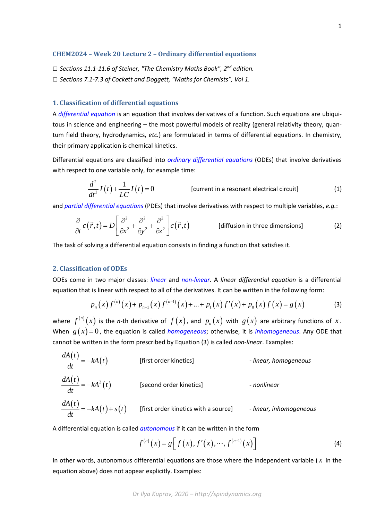#### **CHEM2024 – Week 20 Lecture 2 – Ordinary differential equations**

*□ Sections 11.1-11.6 of Steiner, "The Chemistry Maths Book", 2nd edition. □ Sections 7.1-7.3 of Cockett and Doggett, "Maths for Chemists", Vol 1.*

# **1. Classification of differential equations**

A *differential equation* is an equation that involves derivatives of a function. Such equations are ubiquitous in science and engineering – the most powerful models of reality (general relativity theory, quantum field theory, hydrodynamics, *etc.*) are formulated in terms of differential equations. In chemistry, their primary application is chemical kinetics.

Differential equations are classified into *ordinary differential equations* (ODEs) that involve derivatives with respect to one variable only, for example time:

$$
\frac{d^2}{dt^2}I(t) + \frac{1}{LC}I(t) = 0
$$
 [current in a resonant electrical circuit] (1)

and *partial differential equations* (PDEs) that involve derivatives with respect to multiple variables, *e.g.*:

$$
\frac{\partial}{\partial t}c(\vec{r},t) = D\left[\frac{\partial^2}{\partial x^2} + \frac{\partial^2}{\partial y^2} + \frac{\partial^2}{\partial z^2}\right]c(\vec{r},t)
$$
 [diffusion in three dimensions] (2)

The task of solving a differential equation consists in finding a function that satisfies it.

### **2. Classification of ODEs**

ODEs come in two major classes: *linear* and *non-linear*. A *linear differential equation* is a differential equation that is linear with respect to all of the derivatives. It can be written in the following form:

$$
p_n(x)f^{(n)}(x) + p_{n-1}(x)f^{(n-1)}(x) + ... + p_1(x)f'(x) + p_0(x)f(x) = g(x)
$$
 (3)

where  $f^{(n)}(x)$  is the *n*-th derivative of  $f(x)$ , and  $p_n(x)$  with  $g(x)$  are arbitrary functions of  $x$ . When  $g(x)=0$ , the equation is called *homogeneous*; otherwise, it is *inhomogeneous*. Any ODE that cannot be written in the form prescribed by Equation (3) is called *non-linear*. Examples:

 $\frac{dA(t)}{dt} = -kA(t)$  [first order kinetics] *- linear, homogeneous*  $\frac{dA(t)}{dt} = -kA^2(t)$  [second order kinetics] *- nonlinear*  $\frac{dA(t)}{dt} = -kA(t) + s(t)$ *dt*  $=- k A(t) + s(t)$  [first order kinetics with a source] *- linear, inhomogeneous* 

A differential equation is called *autonomous* if it can be written in the form

$$
f^{(n)}(x) = g[f(x), f'(x), \cdots, f^{(n-1)}(x)]
$$
 (4)

In other words, autonomous differential equations are those where the independent variable ( *x* in the equation above) does not appear explicitly. Examples:

*Dr Ilya Kuprov, 2020 – http://spindynamics.org*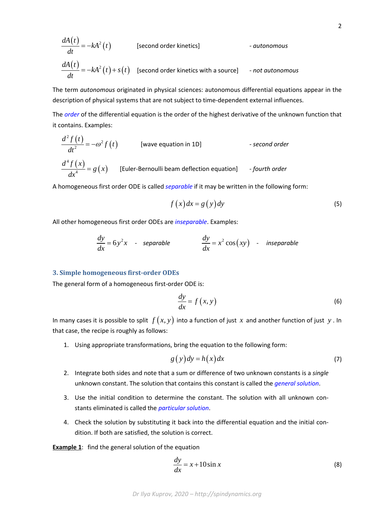$$
\frac{dA(t)}{dt} = -kA^2(t)
$$
 [second order kinetics] - autonomous  

$$
\frac{dA(t)}{dt} = -kA^2(t) + s(t)
$$
 [second order kinetics with a source] - not autonomous

The term *autonomous* originated in physical sciences: autonomous differential equations appear in the description of physical systems that are not subject to time-dependent external influences.

The *order* of the differential equation is the order of the highest derivative of the unknown function that it contains. Examples:

$$
\frac{d^2 f(t)}{dt^2} = -\omega^2 f(t)
$$
 [wave equation in 1D] - second order  

$$
\frac{d^4 f(x)}{dx^4} = g(x)
$$
 [Euler-Bernoulli beam deflection equation] - fourth order

A homogeneous first order ODE is called *separable* if it may be written in the following form:

$$
f(x)dx = g(y)dy
$$
 (5)

All other homogeneous first order ODEs are *inseparable*. Examples:

$$
\frac{dy}{dx} = 6y^2x - separable
$$
  

$$
\frac{dy}{dx} = x^2 \cos(xy) - inseparable
$$

### **3. Simple homogeneous first-order ODEs**

The general form of a homogeneous first-order ODE is:

$$
\frac{dy}{dx} = f(x, y) \tag{6}
$$

In many cases it is possible to split  $f(x, y)$  into a function of just x and another function of just y. In that case, the recipe is roughly as follows:

1. Using appropriate transformations, bring the equation to the following form:

$$
g(y)dy = h(x)dx
$$
 (7)

- 2. Integrate both sides and note that a sum or difference of two unknown constants is a *single* unknown constant. The solution that contains this constant is called the *general solution*.
- 3. Use the initial condition to determine the constant. The solution with all unknown constants eliminated is called the *particular solution*.
- 4. Check the solution by substituting it back into the differential equation and the initial condition. If both are satisfied, the solution is correct.

**Example 1**: find the general solution of the equation

$$
\frac{dy}{dx} = x + 10\sin x\tag{8}
$$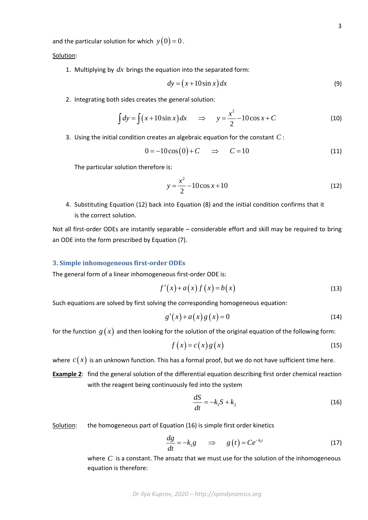for the function 
$$
g(x)
$$
 and then looking for the solution of the original equation of the following form:

$$
f(x) = c(x) g(x)
$$
 (15)

where  $c(x)$  is an unknown function. This has a formal proof, but we do not have sufficient time here.

**Example 2**: find the general solution of the differential equation describing first order chemical reaction with the reagent being continuously fed into the system

$$
\frac{dS}{dt} = -k_1 S + k_2 \tag{16}
$$

Solution: the homogeneous part of Equation (16) is simple first order kinetics

Such equations are solved by first solving the corresponding homogeneous equation:

$$
\frac{dg}{dt} = -k_1 g \qquad \Rightarrow \qquad g(t) = Ce^{-k_1 t} \tag{17}
$$

where *C* is a constant. The ansatz that we must use for the solution of the inhomogeneous equation is therefore:

*Dr Ilya Kuprov, 2020 – http://spindynamics.org*

and the particular solution for which 
$$
y(0) = 0
$$
.

Solution:

1. Multiplying by *dx* brings the equation into the separated form:

$$
dy = (x + 10\sin x) dx
$$
 (9)

2. Integrating both sides creates the general solution:

$$
\int dy = \int (x + 10\sin x) dx \quad \Rightarrow \quad y = \frac{x^2}{2} - 10\cos x + C \tag{10}
$$

3. Using the initial condition creates an algebraic equation for the constant *C* :

$$
0 = -10\cos(0) + C \quad \Rightarrow \quad C = 10 \tag{11}
$$

The particular solution therefore is:

$$
y = \frac{x^2}{2} - 10\cos x + 10\tag{12}
$$

4. Substituting Equation (12) back into Equation (8) and the initial condition confirms that it is the correct solution.

Not all first-order ODEs are instantly separable – considerable effort and skill may be required to bring an ODE into the form prescribed by Equation (7).

# **3. Simple inhomogeneous first-order ODEs**

The general form of a linear inhomogeneous first-order ODE is:

$$
f'(x) + a(x) f(x) = b(x)
$$
\n(13)

$$
(14)
$$

$$
g'(x) + a(x)g(x) = 0
$$
\n(14)